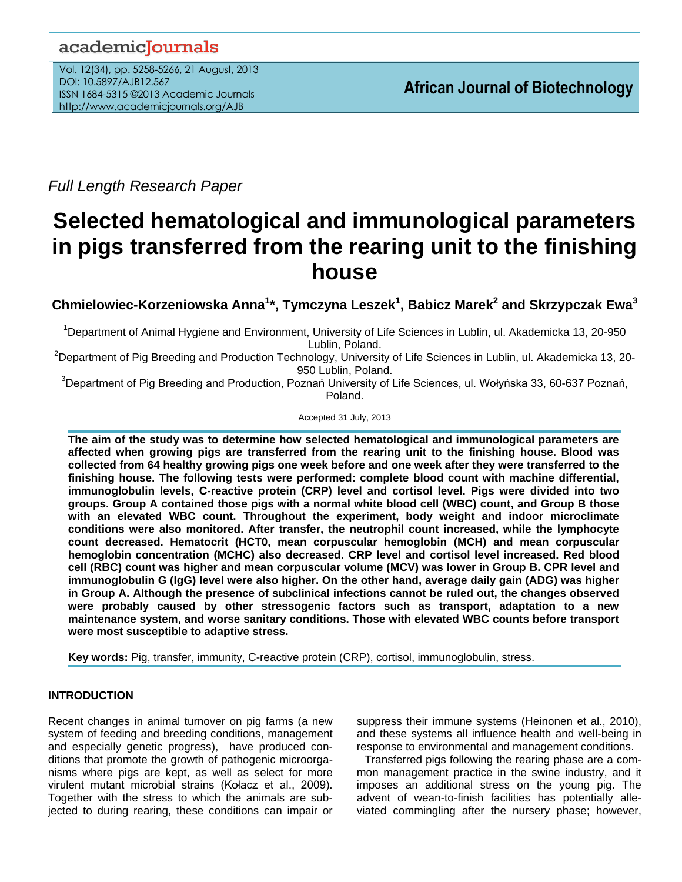# academiclournals

Vol. 12(34), pp. 5258-5266, 21 August, 2013 DOI: 10.5897/AJB12.567 ISSN 1684-5315 ©2013 Academic Journals http://www.academicjournals.org/AJB

*Full Length Research Paper*

# **Selected hematological and immunological parameters in pigs transferred from the rearing unit to the finishing house**

**Chmielowiec-Korzeniowska Anna<sup>1</sup> \*, Tymczyna Leszek<sup>1</sup> , Babicz Marek<sup>2</sup> and Skrzypczak Ewa<sup>3</sup>**

<sup>1</sup>Department of Animal Hygiene and Environment, University of Life Sciences in Lublin, ul. Akademicka 13, 20-950 Lublin, Poland.

<sup>2</sup>Department of Pig Breeding and Production Technology, University of Life Sciences in Lublin, ul. Akademicka 13, 20-950 Lublin, Poland.

<sup>3</sup>Department of Pig Breeding and Production, Poznań University of Life Sciences, ul. Wołyńska 33, 60-637 Poznań, Poland.

Accepted 31 July, 2013

**The aim of the study was to determine how selected hematological and immunological parameters are affected when growing pigs are transferred from the rearing unit to the finishing house. Blood was collected from 64 healthy growing pigs one week before and one week after they were transferred to the finishing house. The following tests were performed: complete blood count with machine differential, immunoglobulin levels, C-reactive protein (CRP) level and cortisol level. Pigs were divided into two groups. Group A contained those pigs with a normal white blood cell (WBC) count, and Group B those with an elevated WBC count. Throughout the experiment, body weight and indoor microclimate conditions were also monitored. After transfer, the neutrophil count increased, while the lymphocyte count decreased. Hematocrit (HCT0, mean corpuscular hemoglobin (MCH) and mean corpuscular hemoglobin concentration (MCHC) also decreased. CRP level and cortisol level increased. Red blood cell (RBC) count was higher and mean corpuscular volume (MCV) was lower in Group B. CPR level and immunoglobulin G (IgG) level were also higher. On the other hand, average daily gain (ADG) was higher in Group A. Although the presence of subclinical infections cannot be ruled out, the changes observed were probably caused by other stressogenic factors such as transport, adaptation to a new maintenance system, and worse sanitary conditions. Those with elevated WBC counts before transport were most susceptible to adaptive stress.**

**Key words:** Pig, transfer, immunity, C-reactive protein (CRP), cortisol, immunoglobulin, stress.

# **INTRODUCTION**

Recent changes in animal turnover on pig farms (a new system of feeding and breeding conditions, management and especially genetic progress), have produced conditions that promote the growth of pathogenic microorganisms where pigs are kept, as well as select for more virulent mutant microbial strains (Kołacz et al., 2009). Together with the stress to which the animals are subjected to during rearing, these conditions can impair or

suppress their immune systems (Heinonen et al., 2010), and these systems all influence health and well-being in response to environmental and management conditions.

Transferred pigs following the rearing phase are a common management practice in the swine industry, and it imposes an additional stress on the young pig. The advent of wean-to-finish facilities has potentially alleviated commingling after the nursery phase; however,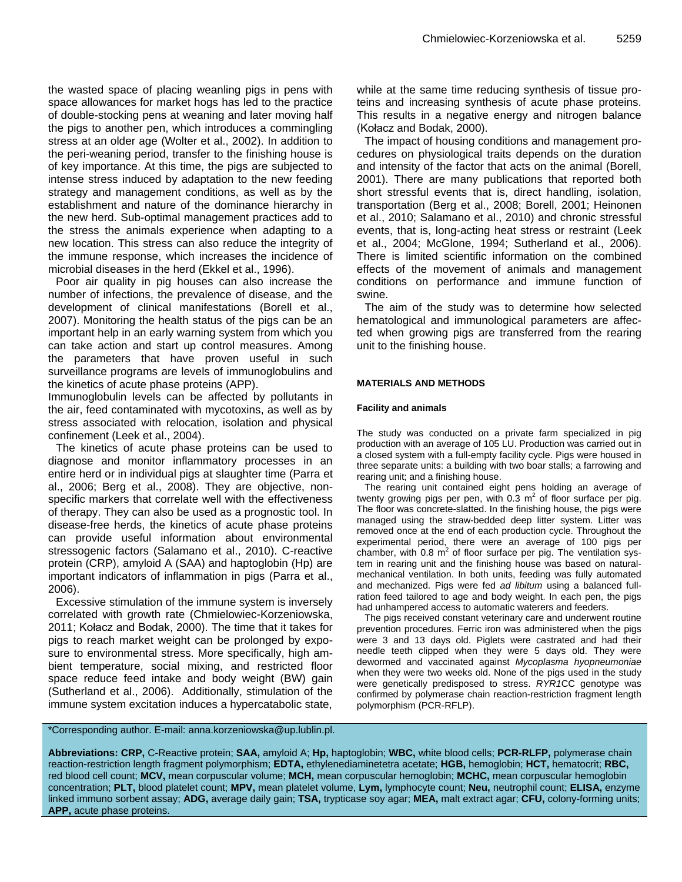the wasted space of placing weanling pigs in pens with space allowances for market hogs has led to the practice of double-stocking pens at weaning and later moving half the pigs to another pen, which introduces a commingling stress at an older age (Wolter et al., 2002). In addition to the peri-weaning period, transfer to the finishing house is of key importance. At this time, the pigs are subjected to intense stress induced by adaptation to the new feeding strategy and management conditions, as well as by the establishment and nature of the dominance hierarchy in the new herd. Sub-optimal management practices add to the stress the animals experience when adapting to a new location. This stress can also reduce the integrity of the immune response, which increases the incidence of microbial diseases in the herd (Ekkel et al., 1996).

Poor air quality in pig houses can also increase the number of infections, the prevalence of disease, and the development of clinical manifestations (Borell et al., 2007). Monitoring the health status of the pigs can be an important help in an early warning system from which you can take action and start up control measures. Among the parameters that have proven useful in such surveillance programs are levels of immunoglobulins and the kinetics of acute phase proteins (APP).

Immunoglobulin levels can be affected by pollutants in the air, feed contaminated with mycotoxins, as well as by stress associated with relocation, isolation and physical confinement (Leek et al., 2004).

The kinetics of acute phase proteins can be used to diagnose and monitor inflammatory processes in an entire herd or in individual pigs at slaughter time (Parra et al., 2006; Berg et al., 2008). They are objective, nonspecific markers that correlate well with the effectiveness of therapy. They can also be used as a prognostic tool. In disease-free herds, the kinetics of acute phase proteins can provide useful information about environmental stressogenic factors (Salamano et al., 2010). C-reactive protein (CRP), amyloid A (SAA) and haptoglobin (Hp) are important indicators of inflammation in pigs (Parra et al., 2006).

Excessive stimulation of the immune system is inversely correlated with growth rate (Chmielowiec-Korzeniowska, 2011; Kołacz and Bodak, 2000). The time that it takes for pigs to reach market weight can be prolonged by exposure to environmental stress. More specifically, high ambient temperature, social mixing, and restricted floor space reduce feed intake and body weight (BW) gain (Sutherland et al., 2006). Additionally, stimulation of the immune system excitation induces a hypercatabolic state, while at the same time reducing synthesis of tissue proteins and increasing synthesis of acute phase proteins. This results in a negative energy and nitrogen balance (Kołacz and Bodak, 2000).

The impact of housing conditions and management procedures on physiological traits depends on the duration and intensity of the factor that acts on the animal (Borell, 2001). There are many publications that reported both short stressful events that is, direct handling, isolation, transportation (Berg et al., 2008; Borell, 2001; Heinonen et al., 2010; Salamano et al., 2010) and chronic stressful events, that is, long-acting heat stress or restraint (Leek et al., 2004; McGlone, 1994; Sutherland et al., 2006). There is limited scientific information on the combined effects of the movement of animals and management conditions on performance and immune function of swine.

The aim of the study was to determine how selected hematological and immunological parameters are affected when growing pigs are transferred from the rearing unit to the finishing house.

# **MATERIALS AND METHODS**

#### **Facility and animals**

The study was conducted on a private farm specialized in pig production with an average of 105 LU. Production was carried out in a closed system with a full-empty facility cycle. Pigs were housed in three separate units: a building with two boar stalls; a farrowing and rearing unit; and a finishing house.

The rearing unit contained eight pens holding an average of twenty growing pigs per pen, with  $0.3 \text{ m}^2$  of floor surface per pig. The floor was concrete-slatted. In the finishing house, the pigs were managed using the straw-bedded deep litter system. Litter was removed once at the end of each production cycle. Throughout the experimental period, there were an average of 100 pigs per chamber, with  $0.8 \text{ m}^2$  of floor surface per pig. The ventilation system in rearing unit and the finishing house was based on naturalmechanical ventilation. In both units, feeding was fully automated and mechanized. Pigs were fed *ad libitum* using a balanced fullration feed tailored to age and body weight. In each pen, the pigs had unhampered access to automatic waterers and feeders.

The pigs received constant veterinary care and underwent routine prevention procedures. Ferric iron was administered when the pigs were 3 and 13 days old. Piglets were castrated and had their needle teeth clipped when they were 5 days old. They were dewormed and vaccinated against *Mycoplasma hyopneumoniae* when they were two weeks old. None of the pigs used in the study were genetically predisposed to stress. *RYR1*CC genotype was confirmed by polymerase chain reaction-restriction fragment length polymorphism (PCR-RFLP).

# \*Corresponding author. E-mail: anna.korzeniowska@up.lublin.pl.

**Abbreviations: CRP,** C-Reactive protein; **SAA,** amyloid A; **Hp,** haptoglobin; **WBC,** white blood cells; **PCR-RLFP,** polymerase chain reaction-restriction length fragment polymorphism; **EDTA,** ethylenediaminetetra acetate; **HGB,** hemoglobin; **HCT,** hematocrit; **RBC,** red blood cell count; **MCV,** mean corpuscular volume; **MCH,** mean corpuscular hemoglobin; **MCHC,** mean corpuscular hemoglobin concentration; **PLT,** blood platelet count; **MPV,** mean platelet volume, **Lym,** lymphocyte count; **Neu,** neutrophil count; **ELISA,** enzyme linked immuno sorbent assay; **ADG,** average daily gain; **TSA,** trypticase soy agar; **MEA,** malt extract agar; **CFU,** colony-forming units; **APP,** acute phase proteins.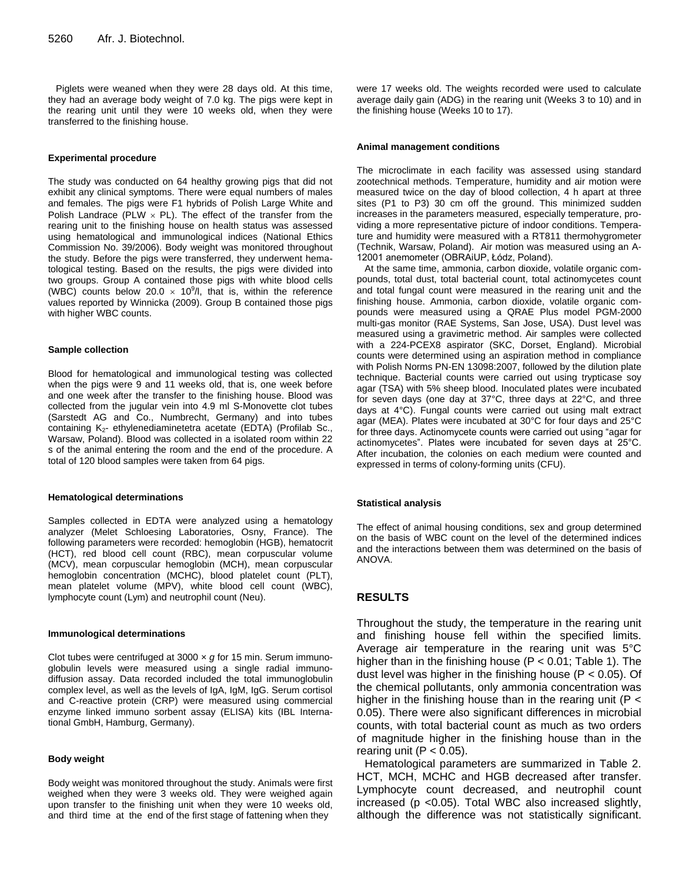Piglets were weaned when they were 28 days old. At this time, they had an average body weight of 7.0 kg. The pigs were kept in the rearing unit until they were 10 weeks old, when they were transferred to the finishing house.

#### **Experimental procedure**

The study was conducted on 64 healthy growing pigs that did not exhibit any clinical symptoms. There were equal numbers of males and females. The pigs were F1 hybrids of Polish Large White and Polish Landrace (PLW  $\times$  PL). The effect of the transfer from the rearing unit to the finishing house on health status was assessed using hematological and immunological indices (National Ethics Commission No. 39/2006). Body weight was monitored throughout the study. Before the pigs were transferred, they underwent hematological testing. Based on the results, the pigs were divided into two groups. Group A contained those pigs with white blood cells (WBC) counts below 20.0  $\times$  10<sup>9</sup>/l, that is, within the reference values reported by Winnicka (2009). Group B contained those pigs with higher WBC counts.

#### **Sample collection**

Blood for hematological and immunological testing was collected when the pigs were 9 and 11 weeks old, that is, one week before and one week after the transfer to the finishing house. Blood was collected from the jugular vein into 4.9 ml S-Monovette clot tubes (Sarstedt AG and Co., Numbrecht, Germany) and into tubes containing  $K_{2}$ - ethylenediaminetetra acetate (EDTA) (Profilab Sc., Warsaw, Poland). Blood was collected in a isolated room within 22 s of the animal entering the room and the end of the procedure. A total of 120 blood samples were taken from 64 pigs.

#### **Hematological determinations**

Samples collected in EDTA were analyzed using a hematology analyzer (Melet Schloesing Laboratories, Osny, France). The following parameters were recorded: hemoglobin (HGB), hematocrit (HCT), red blood cell count (RBC), mean corpuscular volume (MCV), mean corpuscular hemoglobin (MCH), mean corpuscular hemoglobin concentration (MCHC), blood platelet count (PLT), mean platelet volume (MPV), white blood cell count (WBC), lymphocyte count (Lym) and neutrophil count (Neu).

#### **Immunological determinations**

Clot tubes were centrifuged at 3000 × *g* for 15 min. Serum immunoglobulin levels were measured using a single radial immunodiffusion assay. Data recorded included the total immunoglobulin complex level, as well as the levels of IgA, IgM, IgG. Serum cortisol and C-reactive protein (CRP) were measured using commercial enzyme linked immuno sorbent assay (ELISA) kits (IBL International GmbH, Hamburg, Germany).

#### **Body weight**

Body weight was monitored throughout the study. Animals were first weighed when they were 3 weeks old. They were weighed again upon transfer to the finishing unit when they were 10 weeks old, and third time at the end of the first stage of fattening when they

were 17 weeks old. The weights recorded were used to calculate average daily gain (ADG) in the rearing unit (Weeks 3 to 10) and in the finishing house (Weeks 10 to 17).

#### **Animal management conditions**

The microclimate in each facility was assessed using standard zootechnical methods. Temperature, humidity and air motion were measured twice on the day of blood collection, 4 h apart at three sites (P1 to P3) 30 cm off the ground. This minimized sudden increases in the parameters measured, especially temperature, providing a more representative picture of indoor conditions. Temperature and humidity were measured with a RT811 thermohygrometer (Technik, Warsaw, Poland). Air motion was measured using an A-12001 anemometer (OBRAiUP, Łódz, Poland).

At the same time, ammonia, carbon dioxide, volatile organic compounds, total dust, total bacterial count, total actinomycetes count and total fungal count were measured in the rearing unit and the finishing house. Ammonia, carbon dioxide, volatile organic compounds were measured using a QRAE Plus model PGM-2000 multi-gas monitor (RAE Systems, San Jose, USA). Dust level was measured using a gravimetric method. Air samples were collected with a 224-PCEX8 aspirator (SKC, Dorset, England). Microbial counts were determined using an aspiration method in compliance with Polish Norms PN-EN 13098:2007, followed by the dilution plate technique. Bacterial counts were carried out using trypticase soy agar (TSA) with 5% sheep blood. Inoculated plates were incubated for seven days (one day at 37°C, three days at 22°C, and three days at 4°C). Fungal counts were carried out using malt extract agar (MEA). Plates were incubated at 30°C for four days and 25°C for three days. Actinomycete counts were carried out using "agar for actinomycetes". Plates were incubated for seven days at 25°C. After incubation, the colonies on each medium were counted and expressed in terms of colony-forming units (CFU).

#### **Statistical analysis**

The effect of animal housing conditions, sex and group determined on the basis of WBC count on the level of the determined indices and the interactions between them was determined on the basis of ANOVA.

# **RESULTS**

Throughout the study, the temperature in the rearing unit and finishing house fell within the specified limits. Average air temperature in the rearing unit was 5°C higher than in the finishing house ( $P < 0.01$ ; Table 1). The dust level was higher in the finishing house (P < 0.05). Of the chemical pollutants, only ammonia concentration was higher in the finishing house than in the rearing unit ( $P <$ 0.05). There were also significant differences in microbial counts, with total bacterial count as much as two orders of magnitude higher in the finishing house than in the rearing unit ( $P < 0.05$ ).

Hematological parameters are summarized in Table 2. HCT, MCH, MCHC and HGB decreased after transfer. Lymphocyte count decreased, and neutrophil count increased (p <0.05). Total WBC also increased slightly, although the difference was not statistically significant.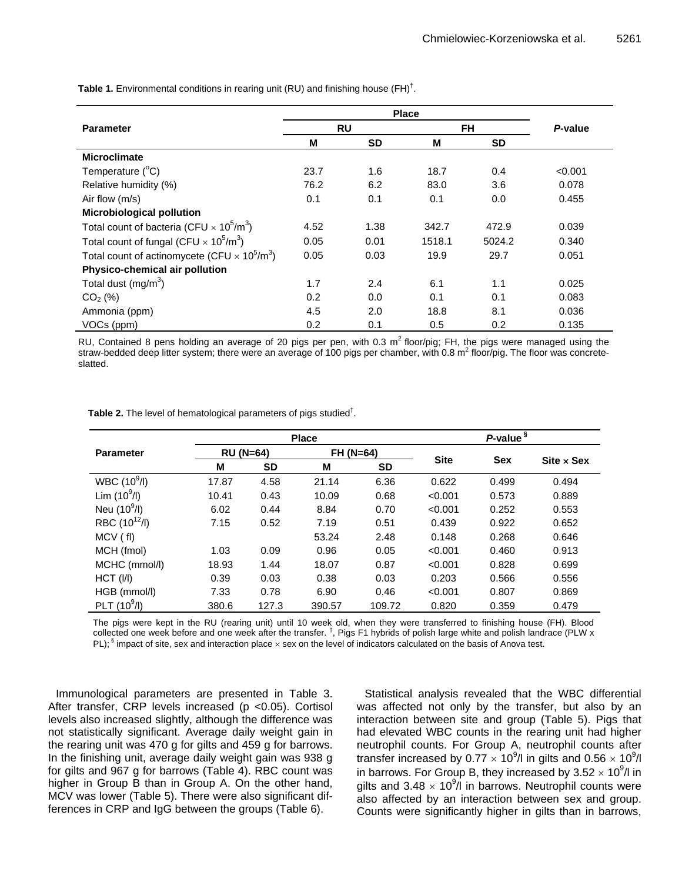|                                                                             |      |           | <b>Place</b> |        |         |
|-----------------------------------------------------------------------------|------|-----------|--------------|--------|---------|
| <b>Parameter</b>                                                            |      | <b>RU</b> |              | FH     | P-value |
|                                                                             | м    | SD        | М            | SD     |         |
| <b>Microclimate</b>                                                         |      |           |              |        |         |
| Temperature $(^{\circ}C)$                                                   | 23.7 | 1.6       | 18.7         | 0.4    | < 0.001 |
| Relative humidity (%)                                                       | 76.2 | 6.2       | 83.0         | 3.6    | 0.078   |
| Air flow $(m/s)$                                                            | 0.1  | 0.1       | 0.1          | 0.0    | 0.455   |
| <b>Microbiological pollution</b>                                            |      |           |              |        |         |
| Total count of bacteria (CFU $\times$ 10 <sup>5</sup> /m <sup>3</sup> )     | 4.52 | 1.38      | 342.7        | 472.9  | 0.039   |
| Total count of fungal (CFU $\times$ 10 <sup>5</sup> /m <sup>3</sup> )       | 0.05 | 0.01      | 1518.1       | 5024.2 | 0.340   |
| Total count of actinomycete (CFU $\times$ 10 <sup>5</sup> /m <sup>3</sup> ) | 0.05 | 0.03      | 19.9         | 29.7   | 0.051   |
| Physico-chemical air pollution                                              |      |           |              |        |         |
| Total dust $(mg/m3)$                                                        | 1.7  | 2.4       | 6.1          | 1.1    | 0.025   |
| $CO2$ (%)                                                                   | 0.2  | 0.0       | 0.1          | 0.1    | 0.083   |
| Ammonia (ppm)                                                               | 4.5  | 2.0       | 18.8         | 8.1    | 0.036   |
| VOCs (ppm)                                                                  | 0.2  | 0.1       | 0.5          | 0.2    | 0.135   |

**Table 1.** Environmental conditions in rearing unit (RU) and finishing house (FH)† .

RU, Contained 8 pens holding an average of 20 pigs per pen, with 0.3  $m^2$  floor/pig; FH, the pigs were managed using the straw-bedded deep litter system; there were an average of 100 pigs per chamber, with 0.8  $m^2$  floor/pig. The floor was concreteslatted.

**Table 2.** The level of hematological parameters of pigs studied† .

|                   |                  |           | <b>Place</b> | P-value <sup>§</sup> |             |            |                                     |  |  |
|-------------------|------------------|-----------|--------------|----------------------|-------------|------------|-------------------------------------|--|--|
| <b>Parameter</b>  | <b>RU (N=64)</b> |           | $FH (N=64)$  |                      |             |            |                                     |  |  |
|                   | M                | <b>SD</b> | M            | <b>SD</b>            | <b>Site</b> | <b>Sex</b> | $\textsf{Site} \times \textsf{Sex}$ |  |  |
| WBC $(10^9/l)$    | 17.87            | 4.58      | 21.14        | 6.36                 | 0.622       | 0.499      | 0.494                               |  |  |
| Lim $(10^9/l)$    | 10.41            | 0.43      | 10.09        | 0.68                 | < 0.001     | 0.573      | 0.889                               |  |  |
| Neu $(10^9/l)$    | 6.02             | 0.44      | 8.84         | 0.70                 | < 0.001     | 0.252      | 0.553                               |  |  |
| RBC $(10^{12}/I)$ | 7.15             | 0.52      | 7.19         | 0.51                 | 0.439       | 0.922      | 0.652                               |  |  |
| MCV (fl)          |                  |           | 53.24        | 2.48                 | 0.148       | 0.268      | 0.646                               |  |  |
| MCH (fmol)        | 1.03             | 0.09      | 0.96         | 0.05                 | < 0.001     | 0.460      | 0.913                               |  |  |
| MCHC (mmol/l)     | 18.93            | 1.44      | 18.07        | 0.87                 | < 0.001     | 0.828      | 0.699                               |  |  |
| HCT (I/I)         | 0.39             | 0.03      | 0.38         | 0.03                 | 0.203       | 0.566      | 0.556                               |  |  |
| HGB (mmol/l)      | 7.33             | 0.78      | 6.90         | 0.46                 | < 0.001     | 0.807      | 0.869                               |  |  |
| PLT $(10^9/l)$    | 380.6            | 127.3     | 390.57       | 109.72               | 0.820       | 0.359      | 0.479                               |  |  |

The pigs were kept in the RU (rearing unit) until 10 week old, when they were transferred to finishing house (FH). Blood collected one week before and one week after the transfer. <sup>†</sup>, Pigs F1 hybrids of polish large white and polish landrace (PLW x PL);  $\frac{1}{3}$  impact of site, sex and interaction place  $\times$  sex on the level of indicators calculated on the basis of Anova test.

Immunological parameters are presented in Table 3. After transfer, CRP levels increased (p <0.05). Cortisol levels also increased slightly, although the difference was not statistically significant. Average daily weight gain in the rearing unit was 470 g for gilts and 459 g for barrows. In the finishing unit, average daily weight gain was 938 g for gilts and 967 g for barrows (Table 4). RBC count was higher in Group B than in Group A. On the other hand, MCV was lower (Table 5). There were also significant differences in CRP and IgG between the groups (Table 6).

Statistical analysis revealed that the WBC differential was affected not only by the transfer, but also by an interaction between site and group (Table 5). Pigs that had elevated WBC counts in the rearing unit had higher neutrophil counts. For Group A, neutrophil counts after transfer increased by 0.77  $\times$  10<sup>9</sup>/l in gilts and 0.56  $\times$  10<sup>9</sup>/l in barrows. For Group B, they increased by  $3.52 \times 10^9$ /l in gilts and 3.48  $\times$  10<sup>9</sup>/l in barrows. Neutrophil counts were also affected by an interaction between sex and group. Counts were significantly higher in gilts than in barrows,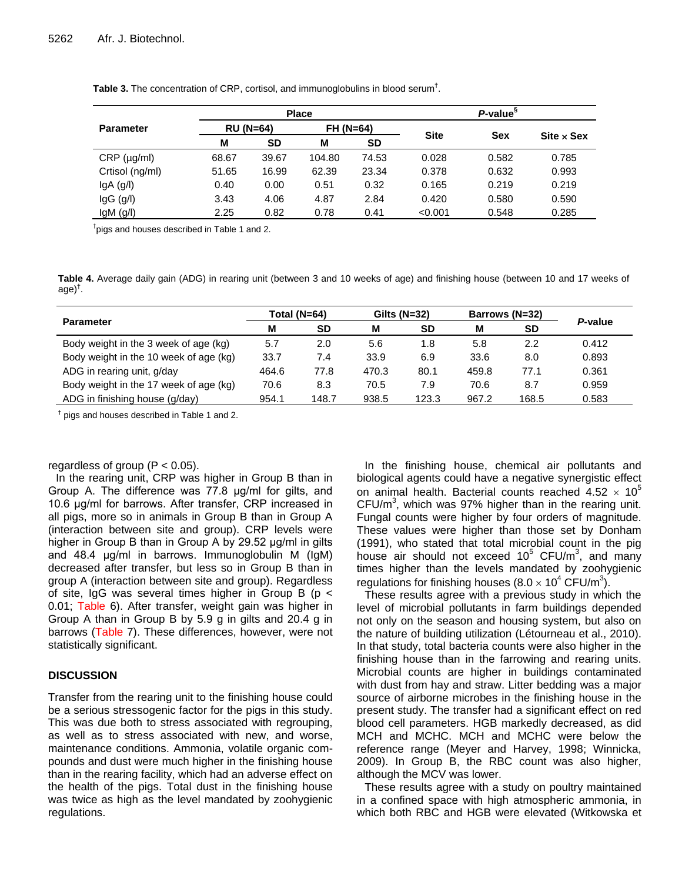|                  |       |                  | <b>Place</b> | P-value <sup>§</sup> |             |            |                   |  |
|------------------|-------|------------------|--------------|----------------------|-------------|------------|-------------------|--|
| <b>Parameter</b> |       | <b>RU (N=64)</b> | $FH (N=64)$  |                      |             |            |                   |  |
|                  | M     | SD               | M            | <b>SD</b>            | <b>Site</b> | <b>Sex</b> | $Site \times Sex$ |  |
| CRP (µg/ml)      | 68.67 | 39.67            | 104.80       | 74.53                | 0.028       | 0.582      | 0.785             |  |
| Crtisol (ng/ml)  | 51.65 | 16.99            | 62.39        | 23.34                | 0.378       | 0.632      | 0.993             |  |
| $lgA$ (g/l)      | 0.40  | 0.00             | 0.51         | 0.32                 | 0.165       | 0.219      | 0.219             |  |
| $lgG$ ( $g/l$ )  | 3.43  | 4.06             | 4.87         | 2.84                 | 0.420       | 0.580      | 0.590             |  |
| $lgM$ (g/l)      | 2.25  | 0.82             | 0.78         | 0.41                 | < 0.001     | 0.548      | 0.285             |  |

**Table 3.** The concentration of CRP, cortisol, and immunoglobulins in blood serum† .

<sup>†</sup>pigs and houses described in Table 1 and 2.

**Table 4.** Average daily gain (ADG) in rearing unit (between 3 and 10 weeks of age) and finishing house (between 10 and 17 weeks of age) † .

|                                        |       | Total (N=64) |       | Gilts $(N=32)$ | Barrows (N=32) |           |         |
|----------------------------------------|-------|--------------|-------|----------------|----------------|-----------|---------|
| <b>Parameter</b>                       | м     | SD           | М     | SD             | M              | <b>SD</b> | P-value |
| Body weight in the 3 week of age (kg)  | 5.7   | 2.0          | 5.6   | 1.8            | 5.8            | 2.2       | 0.412   |
| Body weight in the 10 week of age (kg) | 33.7  | 7.4          | 33.9  | 6.9            | 33.6           | 8.0       | 0.893   |
| ADG in rearing unit, g/day             | 464.6 | 77.8         | 470.3 | 80.1           | 459.8          | 77.1      | 0.361   |
| Body weight in the 17 week of age (kg) | 70.6  | 8.3          | 70.5  | 7.9            | 70.6           | 8.7       | 0.959   |
| ADG in finishing house (g/day)         | 954.1 | 148.7        | 938.5 | 123.3          | 967.2          | 168.5     | 0.583   |

† pigs and houses described in Table 1 and 2.

# regardless of group  $(P < 0.05)$ .

In the rearing unit, CRP was higher in Group B than in Group A. The difference was 77.8 μg/ml for gilts, and 10.6 μg/ml for barrows. After transfer, CRP increased in all pigs, more so in animals in Group B than in Group A (interaction between site and group). CRP levels were higher in Group B than in Group A by 29.52 μg/ml in gilts and 48.4 μg/ml in barrows. Immunoglobulin M (IgM) decreased after transfer, but less so in Group B than in group A (interaction between site and group). Regardless of site, IgG was several times higher in Group B ( $p <$ 0.01; Table 6). After transfer, weight gain was higher in Group A than in Group B by 5.9 g in gilts and 20.4 g in barrows (Table 7). These differences, however, were not statistically significant.

# **DISCUSSION**

Transfer from the rearing unit to the finishing house could be a serious stressogenic factor for the pigs in this study. This was due both to stress associated with regrouping, as well as to stress associated with new, and worse, maintenance conditions. Ammonia, volatile organic compounds and dust were much higher in the finishing house than in the rearing facility, which had an adverse effect on the health of the pigs. Total dust in the finishing house was twice as high as the level mandated by zoohygienic regulations.

In the finishing house, chemical air pollutants and biological agents could have a negative synergistic effect on animal health. Bacterial counts reached 4.52  $\times$  10<sup>5</sup>  $CFU/m<sup>3</sup>$ , which was 97% higher than in the rearing unit. Fungal counts were higher by four orders of magnitude. These values were higher than those set by Donham (1991), who stated that total microbial count in the pig house air should not exceed  $10^5$  CFU/m<sup>3</sup>, and many times higher than the levels mandated by zoohygienic regulations for finishing houses (8.0  $\times$  10<sup>4</sup> CFU/m<sup>3</sup>).

These results agree with a previous study in which the level of microbial pollutants in farm buildings depended not only on the season and housing system, but also on the nature of building utilization (Létourneau et al., 2010). In that study, total bacteria counts were also higher in the finishing house than in the farrowing and rearing units. Microbial counts are higher in buildings contaminated with dust from hay and straw. Litter bedding was a major source of airborne microbes in the finishing house in the present study. The transfer had a significant effect on red blood cell parameters. HGB markedly decreased, as did MCH and MCHC. MCH and MCHC were below the reference range (Meyer and Harvey, 1998; Winnicka, 2009). In Group B, the RBC count was also higher, although the MCV was lower.

These results agree with a study on poultry maintained in a confined space with high atmospheric ammonia, in which both RBC and HGB were elevated (Witkowska et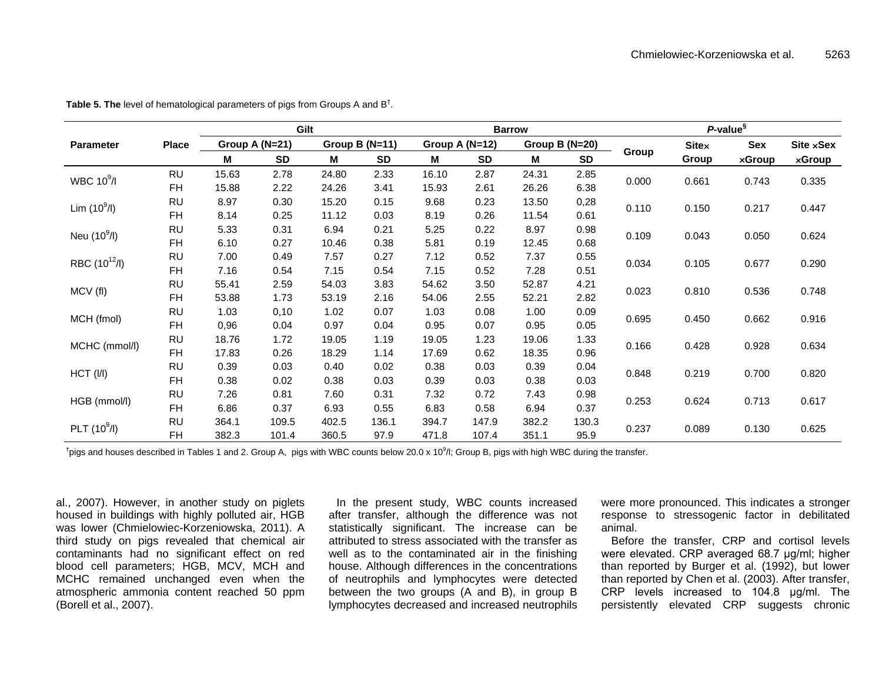|                   |              |       | Gilt           |       |                  | <b>Barrow</b> |                |       |                | P-value <sup>§</sup> |              |               |           |
|-------------------|--------------|-------|----------------|-------|------------------|---------------|----------------|-------|----------------|----------------------|--------------|---------------|-----------|
| <b>Parameter</b>  | <b>Place</b> |       | Group A (N=21) |       | Group B $(N=11)$ |               | Group A (N=12) |       | Group B (N=20) |                      | <b>Sitex</b> | Sex           | Site xSex |
|                   |              | M     | <b>SD</b>      | M     | <b>SD</b>        | M             | <b>SD</b>      | М     | <b>SD</b>      | Group                | Group        | <b>×Group</b> | xGroup    |
| WBC $10^9$ /I     | <b>RU</b>    | 15.63 | 2.78           | 24.80 | 2.33             | 16.10         | 2.87           | 24.31 | 2.85           |                      |              |               |           |
|                   | <b>FH</b>    | 15.88 | 2.22           | 24.26 | 3.41             | 15.93         | 2.61           | 26.26 | 6.38           | 0.000                | 0.661        | 0.743         | 0.335     |
| Lim $(10^9/l)$    | <b>RU</b>    | 8.97  | 0.30           | 15.20 | 0.15             | 9.68          | 0.23           | 13.50 | 0,28           | 0.110                | 0.150        | 0.217         | 0.447     |
|                   | <b>FH</b>    | 8.14  | 0.25           | 11.12 | 0.03             | 8.19          | 0.26           | 11.54 | 0.61           |                      |              |               |           |
| Neu $(10^9/l)$    | <b>RU</b>    | 5.33  | 0.31           | 6.94  | 0.21             | 5.25          | 0.22           | 8.97  | 0.98           | 0.109                | 0.043        | 0.050         | 0.624     |
|                   | <b>FH</b>    | 6.10  | 0.27           | 10.46 | 0.38             | 5.81          | 0.19           | 12.45 | 0.68           |                      |              |               |           |
| RBC $(10^{12}/I)$ | <b>RU</b>    | 7.00  | 0.49           | 7.57  | 0.27             | 7.12          | 0.52           | 7.37  | 0.55           | 0.034                | 0.105        | 0.677         | 0.290     |
|                   | <b>FH</b>    | 7.16  | 0.54           | 7.15  | 0.54             | 7.15          | 0.52           | 7.28  | 0.51           |                      |              |               |           |
| MCV (fl)          | <b>RU</b>    | 55.41 | 2.59           | 54.03 | 3.83             | 54.62         | 3.50           | 52.87 | 4.21           | 0.023                | 0.810        | 0.536         | 0.748     |
|                   | <b>FH</b>    | 53.88 | 1.73           | 53.19 | 2.16             | 54.06         | 2.55           | 52.21 | 2.82           |                      |              |               |           |
| MCH (fmol)        | <b>RU</b>    | 1.03  | 0,10           | 1.02  | 0.07             | 1.03          | 0.08           | 1.00  | 0.09           | 0.695                | 0.450        | 0.662         | 0.916     |
|                   | <b>FH</b>    | 0,96  | 0.04           | 0.97  | 0.04             | 0.95          | 0.07           | 0.95  | 0.05           |                      |              |               |           |
| MCHC (mmol/l)     | <b>RU</b>    | 18.76 | 1.72           | 19.05 | 1.19             | 19.05         | 1.23           | 19.06 | 1.33           | 0.166                | 0.428        | 0.928         | 0.634     |
|                   | <b>FH</b>    | 17.83 | 0.26           | 18.29 | 1.14             | 17.69         | 0.62           | 18.35 | 0.96           |                      |              |               |           |
| HCT (I/I)         | <b>RU</b>    | 0.39  | 0.03           | 0.40  | 0.02             | 0.38          | 0.03           | 0.39  | 0.04           | 0.848                | 0.219        | 0.700         | 0.820     |
|                   | <b>FH</b>    | 0.38  | 0.02           | 0.38  | 0.03             | 0.39          | 0.03           | 0.38  | 0.03           |                      |              |               |           |
| HGB (mmol/l)      | <b>RU</b>    | 7.26  | 0.81           | 7.60  | 0.31             | 7.32          | 0.72           | 7.43  | 0.98           | 0.253                | 0.624        | 0.713         | 0.617     |
|                   | <b>FH</b>    | 6.86  | 0.37           | 6.93  | 0.55             | 6.83          | 0.58           | 6.94  | 0.37           |                      |              |               |           |
| PLT $(10^9/l)$    | <b>RU</b>    | 364.1 | 109.5          | 402.5 | 136.1            | 394.7         | 147.9          | 382.2 | 130.3          | 0.237                | 0.089        |               | 0.625     |
|                   | <b>FH</b>    | 382.3 | 101.4          | 360.5 | 97.9             | 471.8         | 107.4          | 351.1 | 95.9           |                      |              | 0.130         |           |

**Table 5. The** level of hematological parameters of pigs from Groups A and B† .

 $^\dagger$ pigs and houses described in Tables 1 and 2. Group A, pigs with WBC counts below 20.0 x 10<sup>9</sup>/l; Group B, pigs with high WBC during the transfer.

al., 2007). However, in another study on piglets housed in buildings with highly polluted air, HGB was lower (Chmielowiec-Korzeniowska, 2011). A third study on pigs revealed that chemical air contaminants had no significant effect on red blood cell parameters; HGB, MCV, MCH and MCHC remained unchanged even when the atmospheric ammonia content reached 50 ppm (Borell et al., 2007).

In the present study, WBC counts increased after transfer, although the difference was not statistically significant. The increase can be attributed to stress associated with the transfer as well as to the contaminated air in the finishing house. Although differences in the concentrations of neutrophils and lymphocytes were detected between the two groups (A and B), in group B lymphocytes decreased and increased neutrophils

were more pronounced. This indicates a stronger response to stressogenic factor in debilitated animal.

Before the transfer, CRP and cortisol levels were elevated. CRP averaged 68.7 μg/ml; higher than reported by Burger et al. (1992), but lower than reported by Chen et al. (2003). After transfer, CRP levels increased to 104.8 μg/ml. The persistently elevated CRP suggests chronic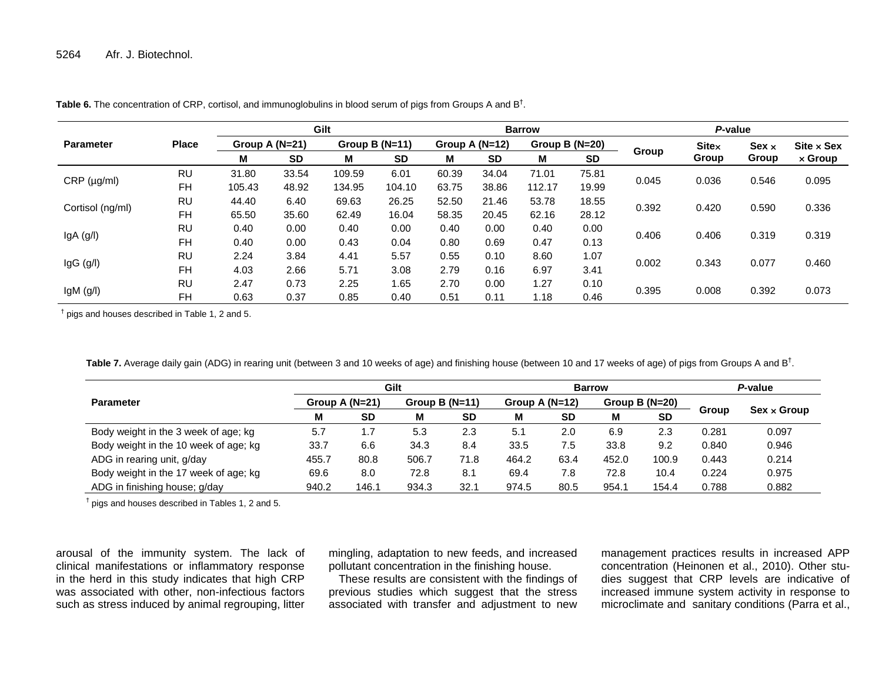|                              |                                               |        | Gilt             |        |                  |       |                | <b>Barrow</b> |                  | P-value |              |              |                   |  |
|------------------------------|-----------------------------------------------|--------|------------------|--------|------------------|-------|----------------|---------------|------------------|---------|--------------|--------------|-------------------|--|
| <b>Parameter</b>             | <b>Place</b>                                  |        | Group A $(N=21)$ |        | Group B $(N=11)$ |       | Group A (N=12) |               | Group B $(N=20)$ |         | <b>Sitex</b> | Sex $\times$ | $Site \times Sex$ |  |
|                              |                                               | M      | <b>SD</b>        | M      | <b>SD</b>        | м     | <b>SD</b>      | М             | <b>SD</b>        | Group   | Group        | Group        | $\times$ Group    |  |
|                              | <b>RU</b>                                     | 31.80  | 33.54            | 109.59 | 6.01             | 60.39 | 34.04          | 71.01         | 75.81            |         |              | 0.546        | 0.095             |  |
| $CRP$ ( $\mu$ g/ml)          | <b>FH</b>                                     | 105.43 | 48.92            | 134.95 | 104.10           | 63.75 | 38.86          | 112.17        | 19.99            | 0.045   | 0.036        |              |                   |  |
|                              | <b>RU</b>                                     | 44.40  | 6.40             | 69.63  | 26.25            | 52.50 | 21.46          | 53.78         | 18.55            | 0.392   | 0.420        |              | 0.336             |  |
| Cortisol (ng/ml)             | <b>FH</b><br>65.50<br>35.60<br>62.49<br>16.04 | 58.35  | 20.45            | 62.16  | 28.12            |       |                | 0.590         |                  |         |              |              |                   |  |
|                              | <b>RU</b>                                     | 0.40   | 0.00             | 0.40   | 0.00             | 0.40  | 0.00           | 0.40          | 0.00             | 0.406   |              | 0.319        |                   |  |
| $lgA$ (g/l)                  | <b>FH</b>                                     | 0.40   | 0.00             | 0.43   | 0.04             | 0.80  | 0.69           | 0.47          | 0.13             |         | 0.406        |              | 0.319             |  |
|                              | RU                                            | 2.24   | 3.84             | 4.41   | 5.57             | 0.55  | 0.10           | 8.60          | 1.07             |         |              |              |                   |  |
| $lgG$ ( $g/l$ )<br><b>FH</b> | 4.03                                          | 2.66   | 5.71             | 3.08   | 2.79             | 0.16  | 6.97           | 3.41          | 0.002            | 0.343   | 0.077        | 0.460        |                   |  |
|                              | <b>RU</b>                                     | 2.47   | 0.73             | 2.25   | 1.65             | 2.70  | 0.00           | 1.27          | 0.10             |         |              |              | 0.073             |  |
| $lgM$ ( $g/l$ )              | <b>FH</b>                                     | 0.63   | 0.37             | 0.85   | 0.40             | 0.51  | 0.11           | 1.18          | 0.46             | 0.395   | 0.008        | 0.392        |                   |  |

**Table 6.** The concentration of CRP, cortisol, and immunoglobulins in blood serum of pigs from Groups A and B<sup>†</sup>.

† pigs and houses described in Table 1, 2 and 5.

**Table 7.** Average daily gain (ADG) in rearing unit (between 3 and 10 weeks of age) and finishing house (between 10 and 17 weeks of age) of pigs from Groups A and B<sup>†</sup>.

|                                       |                  |           | Gilt             |           |                  | <b>Barrow</b> | P-value          |           |              |                    |  |
|---------------------------------------|------------------|-----------|------------------|-----------|------------------|---------------|------------------|-----------|--------------|--------------------|--|
| <b>Parameter</b>                      | Group A $(N=21)$ |           | Group B $(N=11)$ |           | Group A $(N=12)$ |               | Group B $(N=20)$ |           |              |                    |  |
|                                       | м                | <b>SD</b> | M                | <b>SD</b> | M                | <b>SD</b>     | м                | <b>SD</b> | <b>Group</b> | $Sex \times Group$ |  |
| Body weight in the 3 week of age; kg  | 5.7              | . 7       | 5.3              | 2.3       | 5.1              | 2.0           | 6.9              | 2.3       | 0.281        | 0.097              |  |
| Body weight in the 10 week of age; kg | 33.7             | 6.6       | 34.3             | 8.4       | 33.5             | 7.5           | 33.8             | 9.2       | 0.840        | 0.946              |  |
| ADG in rearing unit, g/day            | 455.7            | 80.8      | 506.7            | 71.8      | 464.2            | 63.4          | 452.0            | 100.9     | 0.443        | 0.214              |  |
| Body weight in the 17 week of age; kg | 69.6             | 8.0       | 72.8             | 8.1       | 69.4             | 7.8           | 72.8             | 10.4      | 0.224        | 0.975              |  |
| ADG in finishing house; g/day         | 940.2            | 146.1     | 934.3            | 32.1      | 974.5            | 80.5          | 954.1            | 154.4     | 0.788        | 0.882              |  |

† pigs and houses described in Tables 1, 2 and 5.

arousal of the immunity system. The lack of clinical manifestations or inflammatory response in the herd in this study indicates that high CRP was associated with other, non-infectious factors such as stress induced by animal regrouping, litter

mingling, adaptation to new feeds, and increased pollutant concentration in the finishing house.

These results are consistent with the findings of previous studies which suggest that the stress associated with transfer and adjustment to new management practices results in increased APP concentration (Heinonen et al., 2010). Other studies suggest that CRP levels are indicative of increased immune system activity in response to microclimate and sanitary conditions (Parra et al.,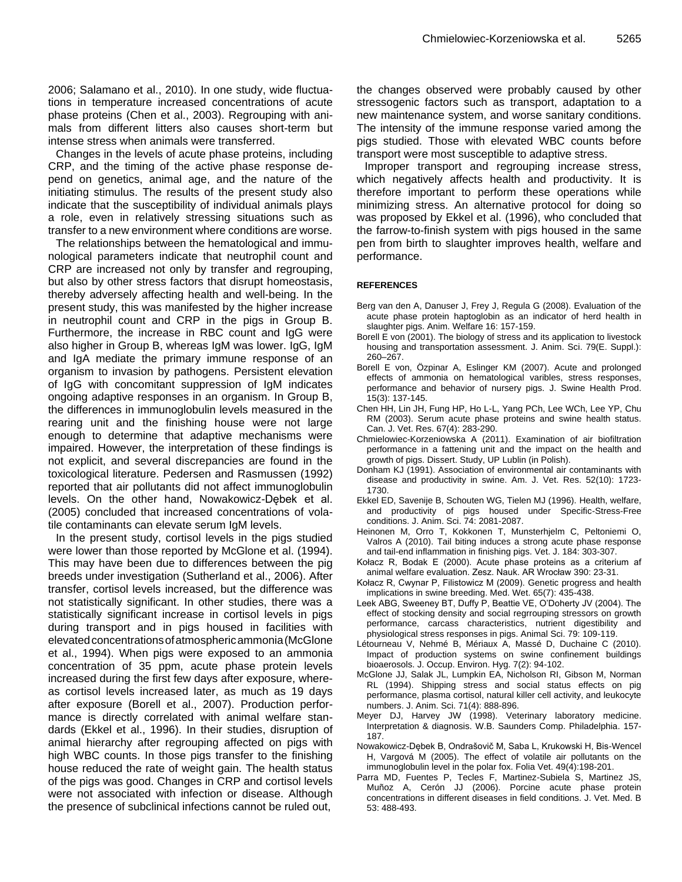2006; Salamano et al., 2010). In one study, wide fluctuations in temperature increased concentrations of acute phase proteins (Chen et al., 2003). Regrouping with animals from different litters also causes short-term but intense stress when animals were transferred.

Changes in the levels of acute phase proteins, including CRP, and the timing of the active phase response depend on genetics, animal age, and the nature of the initiating stimulus. The results of the present study also indicate that the susceptibility of individual animals plays a role, even in relatively stressing situations such as transfer to a new environment where conditions are worse.

The relationships between the hematological and immunological parameters indicate that neutrophil count and CRP are increased not only by transfer and regrouping, but also by other stress factors that disrupt homeostasis, thereby adversely affecting health and well-being. In the present study, this was manifested by the higher increase in neutrophil count and CRP in the pigs in Group B. Furthermore, the increase in RBC count and IgG were also higher in Group B, whereas IgM was lower. IgG, IgM and IgA mediate the primary immune response of an organism to invasion by pathogens. Persistent elevation of IgG with concomitant suppression of IgM indicates ongoing adaptive responses in an organism. In Group B, the differences in immunoglobulin levels measured in the rearing unit and the finishing house were not large enough to determine that adaptive mechanisms were impaired. However, the interpretation of these findings is not explicit, and several discrepancies are found in the toxicological literature. Pedersen and Rasmussen (1992) reported that air pollutants did not affect immunoglobulin levels. On the other hand, Nowakowicz-Dębek et al. (2005) concluded that increased concentrations of volatile contaminants can elevate serum IgM levels.

In the present study, cortisol levels in the pigs studied were lower than those reported by McGlone et al. (1994). This may have been due to differences between the pig breeds under investigation (Sutherland et al., 2006). After transfer, cortisol levels increased, but the difference was not statistically significant. In other studies, there was a statistically significant increase in cortisol levels in pigs during transport and in pigs housed in facilities with elevatedconcentrationsofatmosphericammonia(McGlone et al., 1994). When pigs were exposed to an ammonia concentration of 35 ppm, acute phase protein levels increased during the first few days after exposure, whereas cortisol levels increased later, as much as 19 days after exposure (Borell et al., 2007). Production performance is directly correlated with animal welfare standards (Ekkel et al., 1996). In their studies, disruption of animal hierarchy after regrouping affected on pigs with high WBC counts. In those pigs transfer to the finishing house reduced the rate of weight gain. The health status of the pigs was good. Changes in CRP and cortisol levels were not associated with infection or disease. Although the presence of subclinical infections cannot be ruled out,

the changes observed were probably caused by other stressogenic factors such as transport, adaptation to a new maintenance system, and worse sanitary conditions. The intensity of the immune response varied among the pigs studied. Those with elevated WBC counts before transport were most susceptible to adaptive stress.

Improper transport and regrouping increase stress, which negatively affects health and productivity. It is therefore important to perform these operations while minimizing stress. An alternative protocol for doing so was proposed by Ekkel et al. (1996), who concluded that the farrow-to-finish system with pigs housed in the same pen from birth to slaughter improves health, welfare and performance.

# **REFERENCES**

- Berg van den A, Danuser J, Frey J, Regula G (2008). Evaluation of the acute phase protein haptoglobin as an indicator of herd health in slaughter pigs. Anim. Welfare 16: 157-159.
- Borell E von (2001). The biology of stress and its application to livestock housing and transportation assessment. J. Anim. Sci. 79(E. Suppl.): 260–267.
- Borell E von, Özpinar A, Eslinger KM (2007). Acute and prolonged effects of ammonia on hematological varibles, stress responses, performance and behavior of nursery pigs. J. Swine Health Prod. 15(3): 137-145.
- Chen HH, Lin JH, Fung HP, Ho L-L, Yang PCh, Lee WCh, Lee YP, Chu RM (2003). Serum acute phase proteins and swine health status. Can. J. Vet. Res. 67(4): 283-290.
- Chmielowiec-Korzeniowska A (2011). Examination of air biofiltration performance in a fattening unit and the impact on the health and growth of pigs. Dissert. Study, UP Lublin (in Polish).
- Donham KJ (1991). Association of environmental air contaminants with disease and productivity in swine. Am. J. Vet. Res. 52(10): 1723- 1730.
- Ekkel ED, Savenije B, Schouten WG, Tielen MJ (1996). Health, welfare, and productivity of pigs housed under Specific-Stress-Free conditions. J. Anim. Sci. 74: 2081-2087.
- Heinonen M, Orro T, Kokkonen T, Munsterhjelm C, Peltoniemi O, Valros A (2010). Tail biting induces a strong acute phase response and tail-end inflammation in finishing pigs. Vet. J. 184: 303-307.
- Kołacz R, Bodak E (2000). Acute phase proteins as a criterium af animal welfare evaluation. Zesz. Nauk. AR Wrocław 390: 23-31.
- Kołacz R, Cwynar P, Filistowicz M (2009). Genetic progress and health implications in swine breeding. Med. Wet. 65(7): 435-438.
- Leek ABG, Sweeney BT, Duffy P, Beattie VE, O'Doherty JV (2004). The effect of stocking density and social regrrouping stressors on growth performance, carcass characteristics, nutrient digestibility and physiological stress responses in pigs. Animal Sci. 79: 109-119.
- Létourneau V, Nehmé B, Mériaux A, Massé D, Duchaine C (2010). Impact of production systems on swine confinement buildings bioaerosols. J. Occup. Environ. Hyg. 7(2): 94-102.
- McGlone JJ, Salak JL, Lumpkin EA, Nicholson RI, Gibson M, Norman RL (1994). Shipping stress and social status effects on pig performance, plasma cortisol, natural killer cell activity, and leukocyte numbers. J. Anim. Sci. 71(4): 888-896.
- Meyer DJ, Harvey JW (1998). Veterinary laboratory medicine. Interpretation & diagnosis. W.B. Saunders Comp. Philadelphia. 157- 187.
- Nowakowicz-Dębek B, Ondrašovič M, Saba L, Krukowski H, Bis-Wencel H, Vargová M (2005). The effect of volatile air pollutants on the immunoglobulin level in the polar fox. Folia Vet. 49(4):198-201.
- Parra MD, Fuentes P, Tecles F, Martinez-Subiela S, Martinez JS, Muñoz A, Cerón JJ (2006). Porcine acute phase protein concentrations in different diseases in field conditions. J. Vet. Med. B 53: 488-493.